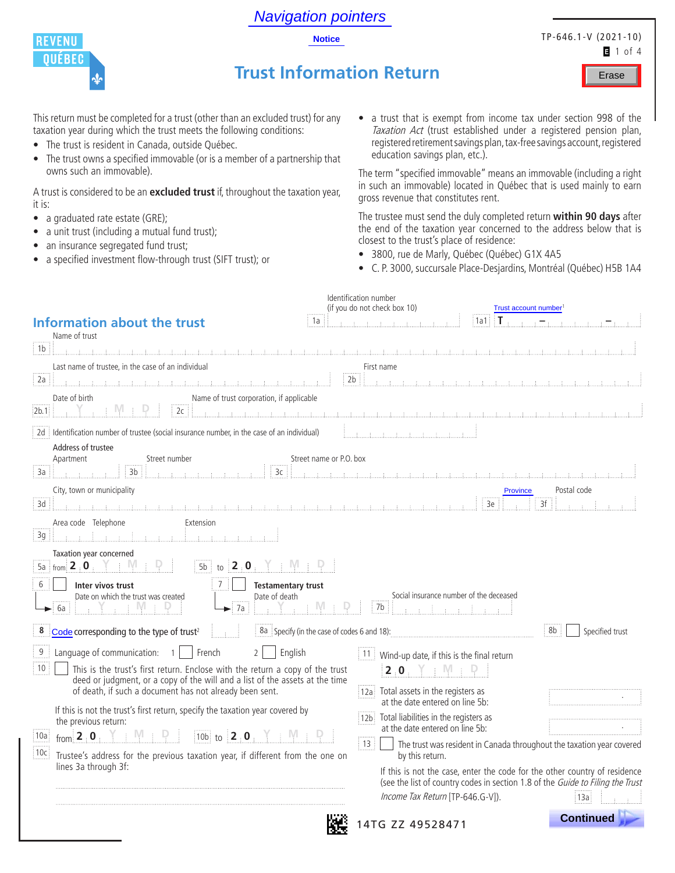|  | <b>Notice</b> |  |
|--|---------------|--|
|  |               |  |

Navigation pointers



it is:

This return must be completed for a trust (other than an excluded trust) for any taxation year during which the trust meets the following conditions:

• The trust owns a specified immovable (or is a member of a partnership that

A trust is considered to be an **excluded trust** if, throughout the taxation year,

• The trust is resident in Canada, outside Québec.

• a unit trust (including a mutual fund trust); • an insurance segregated fund trust;

• a specified investment flow-through trust (SIFT trust); or

owns such an immovable).

• a graduated rate estate (GRE);

TP-646.1-V (2021-10)  $1$  of 4

Erase

# **Trust Information Return**

• a trust that is exempt from income tax under section 998 of the Taxation Act (trust established under a registered pension plan, registered retirement savings plan, tax-free savings account, registered

The term "specified immovable" means an immovable (including a right in such an immovable) located in Québec that is used mainly to earn gross revenue that constitutes rent.

The trustee must send the duly completed return **within 90 days** after the end of the taxation year concerned to the address below that is closest to the trust's place of residence:

• 3800, rue de Marly, Québec (Québec) G1X 4A5

education savings plan, etc.).

• C. P. 3000, succursale Place-Desjardins, Montréal (Québec) H5B 1A4

| <b>Information about the trust</b><br>1a<br>Name of trust<br>1b                                                                                                                                                                                                                                                                                                                                                                                                                                                                                                                                                                    | Identification number<br>(if you do not check box 10)<br>Trust account number <sup>1</sup><br>$\mathbf{I}$<br> 1a1                                                                                                                                                                                                                                                                                                                                                                                                                        |
|------------------------------------------------------------------------------------------------------------------------------------------------------------------------------------------------------------------------------------------------------------------------------------------------------------------------------------------------------------------------------------------------------------------------------------------------------------------------------------------------------------------------------------------------------------------------------------------------------------------------------------|-------------------------------------------------------------------------------------------------------------------------------------------------------------------------------------------------------------------------------------------------------------------------------------------------------------------------------------------------------------------------------------------------------------------------------------------------------------------------------------------------------------------------------------------|
| Last name of trustee, in the case of an individual<br>2a                                                                                                                                                                                                                                                                                                                                                                                                                                                                                                                                                                           | $\mathcal{L}$ , and a set of the state of the state of the state of the state of the state of the state of the state of the state of the state of the state of the state of the state of the state of the state of the state of th<br>First name<br>2 <sub>b</sub>                                                                                                                                                                                                                                                                        |
| Name of trust corporation, if applicable<br>Date of birth<br>2c<br>2b.1<br>2d il dentification number of trustee (social insurance number, in the case of an individual)<br>Address of trustee<br>Street name or P.O. box<br>Apartment<br>Street number<br>3 <sub>b</sub><br>3c<br>  За<br>City, town or municipality<br>3d<br>Area code Telephone<br>Extension<br>3g<br>オーオー<br>Taxation year concerned<br>5a $\frac{1}{2}$ from $\frac{2}{5}$ : 0<br>2.0<br>5 <sub>b</sub><br>to<br>6<br>Inter vivos trust<br><b>Testamentary trust</b>                                                                                          | (注) 注 (注) 注<br>Postal code<br><b>Province</b><br>3f<br>3e                                                                                                                                                                                                                                                                                                                                                                                                                                                                                 |
| Date on which the trust was created<br>Date of death<br>7a<br>6а<br>Code corresponding to the type of trust <sup>2</sup><br>8a Specify (in the case of codes 6 and 18):<br>8                                                                                                                                                                                                                                                                                                                                                                                                                                                       | Social insurance number of the deceased<br>7b<br>8b<br>Specified trust                                                                                                                                                                                                                                                                                                                                                                                                                                                                    |
| $\boldsymbol{9}$<br>Language of communication:<br>English<br>French<br>$\overline{2}$<br>$\overline{1}$<br>$\frac{1}{3}$ 10<br>This is the trust's first return. Enclose with the return a copy of the trust<br>deed or judgment, or a copy of the will and a list of the assets at the time<br>of death, if such a document has not already been sent.<br>If this is not the trust's first return, specify the taxation year covered by<br>the previous return:<br>from $2 \cdot 0$<br>10b to $2.0$<br>i 10a i<br> 10c <br>Trustee's address for the previous taxation year, if different from the one on<br>lines 3a through 3f: | 11 Wind-up date, if this is the final return<br>2.0<br>12a Total assets in the registers as<br>at the date entered on line 5b:<br>12b Total liabilities in the registers as<br>at the date entered on line 5b:<br>$\frac{1}{2}$ 13<br>The trust was resident in Canada throughout the taxation year covered<br>by this return.<br>If this is not the case, enter the code for the other country of residence<br>(see the list of country codes in section 1.8 of the Guide to Filing the Trust<br>Income Tax Return [TP-646.G-V]).<br>13a |
|                                                                                                                                                                                                                                                                                                                                                                                                                                                                                                                                                                                                                                    | <b>Continued</b><br>4TG ZZ 49528471                                                                                                                                                                                                                                                                                                                                                                                                                                                                                                       |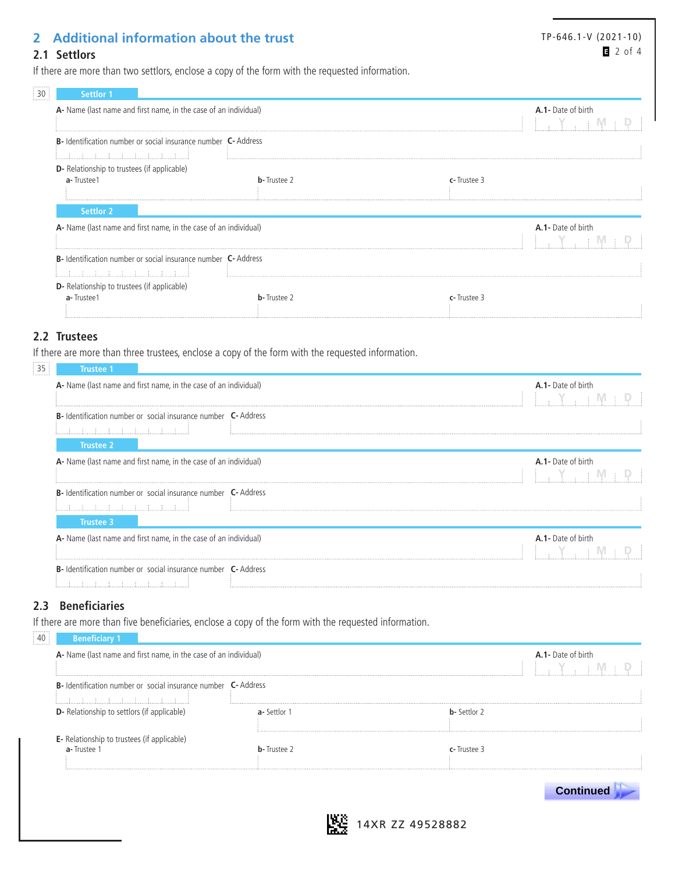## **2 Additional information about the trust**

#### TP-646.1-V (2021-10) 2 of 4

If there are more than two settlors, enclose a copy of the form with the requested information.

| <b>Settlor 1</b>                                                      |                     |                    |
|-----------------------------------------------------------------------|---------------------|--------------------|
| A- Name (last name and first name, in the case of an individual)      |                     | A.1- Date of birth |
| <b>B-</b> Identification number or social insurance number C- Address |                     |                    |
| <b>D</b> - Relationship to trustees (if applicable)                   |                     |                    |
| a-Trustee1                                                            | <b>b</b> -Trustee 2 | c-Trustee 3        |
| <b>Settlor 2</b>                                                      |                     |                    |
| A- Name (last name and first name, in the case of an individual)      |                     | A.1- Date of birth |
| <b>B-</b> Identification number or social insurance number C- Address |                     |                    |
| <b>D</b> - Relationship to trustees (if applicable)                   |                     |                    |
| a-Trustee1                                                            | <b>b</b> -Trustee 2 | c-Trustee 3        |

#### **2.2 Trustees**

**2.1 Settlors**

If there are more than three trustees, enclose a copy of the form with the requested information.

| 35<br>Trustee 1                                                              |  |                           |
|------------------------------------------------------------------------------|--|---------------------------|
| A- Name (last name and first name, in the case of an individual)             |  | A.1- Date of birth        |
|                                                                              |  |                           |
| <b>B-</b> Identification number or social insurance number <b>C-</b> Address |  |                           |
|                                                                              |  |                           |
| Trustee 2                                                                    |  |                           |
| A- Name (last name and first name, in the case of an individual)             |  | <b>A.1-</b> Date of birth |
|                                                                              |  |                           |
| <b>B</b> -Identification number or social insurance number <b>C</b> -Address |  |                           |
|                                                                              |  |                           |
| Trustee 3                                                                    |  |                           |
| A- Name (last name and first name, in the case of an individual)             |  | A.1- Date of birth        |
|                                                                              |  |                           |
| <b>B-</b> Identification number or social insurance number <b>C-</b> Address |  |                           |
|                                                                              |  |                           |

#### **2.3 Beneficiaries**

If there are more than five beneficiaries, enclose a copy of the form with the requested information.

| A- Name (last name and first name, in the case of an individual)                                    |                     |                      | A.1- Date of birth |
|-----------------------------------------------------------------------------------------------------|---------------------|----------------------|--------------------|
| <b>B-</b> Identification number or social insurance number <b>C-</b> Address<br><u> i i i i i i</u> |                     |                      |                    |
| <b>D</b> - Relationship to settlors (if applicable)                                                 | a-Settlor 1         | <b>b</b> - Settlor 2 |                    |
| <b>E</b> - Relationship to trustees (if applicable)<br>a-Trustee 1                                  | <b>b</b> -Trustee 2 | $r$ - Trustee 3      |                    |
|                                                                                                     |                     |                      | <b>Continued</b>   |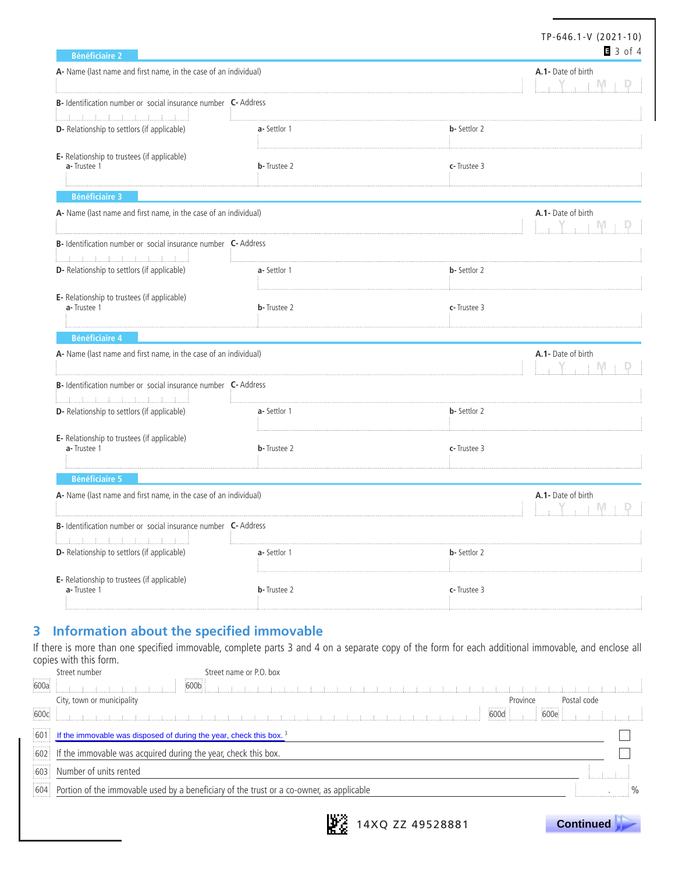| <b>Bénéficiaire 2</b>                                                                                                                                                                  |                     | TP-646.1-V (2021-10)                                                  | $3$ of 4 |
|----------------------------------------------------------------------------------------------------------------------------------------------------------------------------------------|---------------------|-----------------------------------------------------------------------|----------|
| A- Name (last name and first name, in the case of an individual)                                                                                                                       |                     | A.1- Date of birth<br>$\rightarrow$ Y $\rightarrow$ + M +             |          |
| B- Identification number or social insurance number C- Address<br><u> 1999 - Andrea Andrea, amerikan penganjan penganjan pada 1991 - Andrea San Andrea San Andrea San Andrea San A</u> |                     |                                                                       |          |
| <b>D</b> - Relationship to settlors (if applicable)                                                                                                                                    | a-Settlor 1         | <b>b</b> - Settlor 2                                                  |          |
| E- Relationship to trustees (if applicable)<br>a-Trustee 1                                                                                                                             | <b>b</b> -Trustee 2 | c-Trustee 3                                                           |          |
| <b>Bénéficiaire 3</b>                                                                                                                                                                  |                     |                                                                       |          |
| A- Name (last name and first name, in the case of an individual)                                                                                                                       |                     | A.1- Date of birth<br>$\Box$ $\Upsilon$ , $\Box$ $\Psi$ $\Box$ $\Psi$ |          |
| B- Identification number or social insurance number C- Address                                                                                                                         |                     |                                                                       |          |
| <u> E. A. A. A. A. A. A. A. A. A. A. A. A</u><br>D- Relationship to settlors (if applicable)                                                                                           | a-Settlor 1         | <b>b</b> - Settlor 2                                                  |          |
| E- Relationship to trustees (if applicable)<br>a-Trustee 1                                                                                                                             | <b>b</b> -Trustee 2 | c-Trustee 3                                                           |          |
| <b>Bénéficiaire 4</b>                                                                                                                                                                  |                     |                                                                       |          |
| A- Name (last name and first name, in the case of an individual)                                                                                                                       |                     | A.1- Date of birth<br>$Y + W =$                                       |          |
| B- Identification number or social insurance number C- Address                                                                                                                         |                     |                                                                       |          |
| <b>D</b> - Relationship to settlors (if applicable)                                                                                                                                    | a-Settlor 1         | <b>b</b> - Settlor 2                                                  |          |
| E- Relationship to trustees (if applicable)<br>a-Trustee 1                                                                                                                             | <b>b</b> -Trustee 2 | c-Trustee 3                                                           |          |
| <b>Bénéficiaire 5</b>                                                                                                                                                                  |                     |                                                                       |          |
| A- Name (last name and first name, in the case of an individual)                                                                                                                       |                     | A.1- Date of birth                                                    |          |
| <b>B-</b> Identification number or social insurance number <b>C-</b> Address<br>.                                                                                                      |                     |                                                                       |          |
| D- Relationship to settlors (if applicable)                                                                                                                                            | a-Settlor 1         | <b>b</b> - Settlor 2                                                  |          |
| E- Relationship to trustees (if applicable)<br>a-Trustee 1                                                                                                                             | <b>b</b> -Trustee 2 | c-Trustee 3                                                           |          |

### **3 Information about the specified immovable**

If there is more than one specified immovable, complete parts 3 and 4 on a separate copy of the form for each additional immovable, and enclose all copies with this form. Street name or  $\overline{D} \cap \overline{D}$ 

|      | Street number<br>Street hame or P.O. DOX                                                     |             |  |
|------|----------------------------------------------------------------------------------------------|-------------|--|
| 600a | 600b<br>and the state of the state of the                                                    |             |  |
|      | City, town or municipality<br>Province                                                       | Postal code |  |
| 600c | 600e.<br>600d<br>de la caractería de la caractería de la caractería                          |             |  |
|      | $601$ If the immovable was disposed of during the year, check this box. <sup>3</sup>         |             |  |
|      | 602 If the immovable was acquired during the year, check this box.                           |             |  |
|      | 603 Number of units rented                                                                   |             |  |
|      | 604 Portion of the immovable used by a beneficiary of the trust or a co-owner, as applicable |             |  |
|      |                                                                                              |             |  |